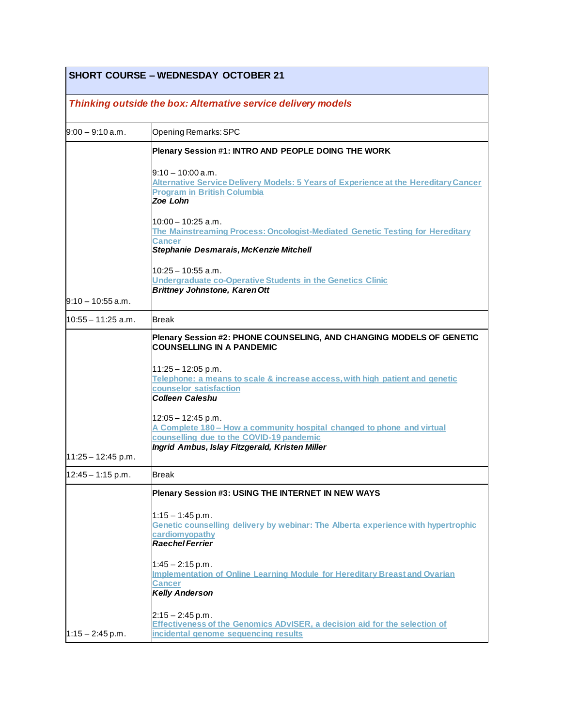### **SHORT COURSE – WEDNESDAY OCTOBER 21**

# *Thinking outside the box: Alternative service delivery models*

| $9:00 - 9:10$ a.m.   | Opening Remarks: SPC                                                                                                                                                                         |
|----------------------|----------------------------------------------------------------------------------------------------------------------------------------------------------------------------------------------|
|                      | Plenary Session #1: INTRO AND PEOPLE DOING THE WORK                                                                                                                                          |
|                      | $9:10 - 10:00$ a.m.<br>Alternative Service Delivery Models: 5 Years of Experience at the Hereditary Cancer<br><b>Program in British Columbia</b><br>Zoe Lohn                                 |
|                      | 10:00 – 10:25 a.m.<br>The Mainstreaming Process: Oncologist-Mediated Genetic Testing for Hereditary<br>Cancer<br>Stephanie Desmarais, McKenzie Mitchell                                      |
|                      | l10:25 – 10:55 a.m.<br>Undergraduate co-Operative Students in the Genetics Clinic<br><b>Brittney Johnstone, Karen Ott</b>                                                                    |
| $9:10 - 10:55$ a.m.  |                                                                                                                                                                                              |
| l10:55 – 11:25 a.m.  | <b>Break</b>                                                                                                                                                                                 |
|                      | Plenary Session #2: PHONE COUNSELING, AND CHANGING MODELS OF GENETIC<br><b>COUNSELLING IN A PANDEMIC</b>                                                                                     |
|                      | $11:25 - 12:05$ p.m.<br>Telephone: a means to scale & increase access, with high patient and genetic<br>counselor satisfaction<br><b>Colleen Caleshu</b>                                     |
| $11:25 - 12:45$ p.m. | $12:05 - 12:45$ p.m.<br>A Complete 180 – How a community hospital changed to phone and virtual<br>counselling due to the COVID-19 pandemic<br>Ingrid Ambus, Islay Fitzgerald, Kristen Miller |
| $12:45 - 1:15$ p.m.  | <b>Break</b>                                                                                                                                                                                 |
|                      | Plenary Session #3: USING THE INTERNET IN NEW WAYS                                                                                                                                           |
|                      | $1:15 - 1:45$ p.m.<br>Genetic counselling delivery by webinar: The Alberta experience with hypertrophic<br>cardiomyopathy<br><b>Raechel Ferrier</b>                                          |
|                      | $1:45 - 2:15$ p.m.<br>Implementation of Online Learning Module for Hereditary Breast and Ovarian<br>Cancer<br><b>Kelly Anderson</b>                                                          |
| $1:15 - 2:45$ p.m.   | $2:15 - 2:45$ p.m.<br>Effectiveness of the Genomics ADvISER, a decision aid for the selection of<br>incidental genome sequencing results                                                     |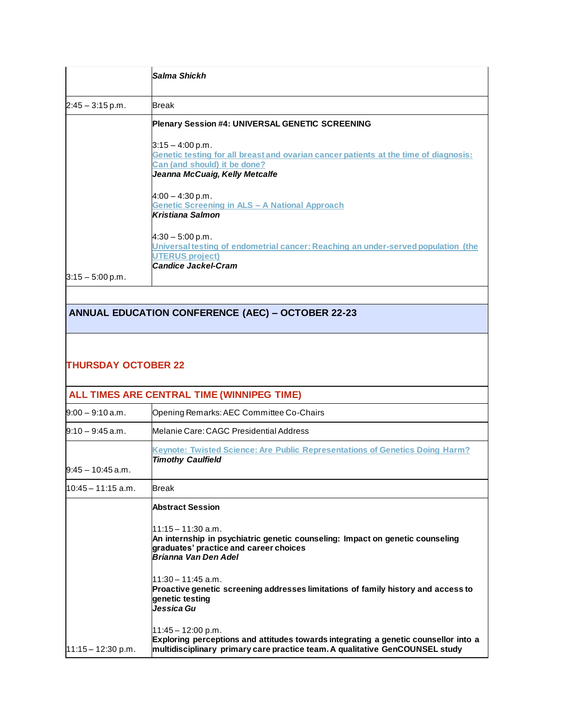|                    | lSalma Shickh                                                                                                                                                                |
|--------------------|------------------------------------------------------------------------------------------------------------------------------------------------------------------------------|
| $2:45 - 3:15$ p.m. | <b>Break</b>                                                                                                                                                                 |
|                    | <b>Plenary Session #4: UNIVERSAL GENETIC SCREENING</b>                                                                                                                       |
|                    | $3:15 - 4:00$ p.m.<br>Genetic testing for all breast and ovarian cancer patients at the time of diagnosis:<br>Can (and should) it be done?<br>Jeanna McCuaig, Kelly Metcalfe |
|                    | $4:00 - 4:30$ p.m.<br><b>Genetic Screening in ALS - A National Approach</b><br><b>Kristiana Salmon</b>                                                                       |
|                    | $4:30 - 5:00$ p.m.<br>Universal testing of endometrial cancer: Reaching an under-served population (the<br><b>UTERUS project)</b><br>Candice Jackel-Cram                     |
| $3:15 - 5:00$ p.m. |                                                                                                                                                                              |

## **ANNUAL EDUCATION CONFERENCE (AEC) – OCTOBER 22-23**

#### **THURSDAY OCTOBER 22**

| ALL TIMES ARE CENTRAL TIME (WINNIPEG TIME) |                                                                                                                                                                                             |  |
|--------------------------------------------|---------------------------------------------------------------------------------------------------------------------------------------------------------------------------------------------|--|
| $9:00 - 9:10$ a.m.                         | Opening Remarks: AEC Committee Co-Chairs                                                                                                                                                    |  |
| $9:10 - 9:45$ a.m.                         | Melanie Care: CAGC Presidential Address                                                                                                                                                     |  |
|                                            | Keynote: Twisted Science: Are Public Representations of Genetics Doing Harm?<br><b>Timothy Caulfield</b>                                                                                    |  |
| l9:45 – 10:45 a.m.                         |                                                                                                                                                                                             |  |
| l10:45 – 11:15 a.m.                        | <b>Break</b>                                                                                                                                                                                |  |
|                                            | <b>Abstract Session</b>                                                                                                                                                                     |  |
|                                            | $11:15 - 11:30$ a.m.<br>An internship in psychiatric genetic counseling: Impact on genetic counseling<br>graduates' practice and career choices<br>Brianna Van Den Adel                     |  |
|                                            | l11:30 – 11:45 a.m.<br>Proactive genetic screening addresses limitations of family history and access to<br>genetic testing<br>Jessica Gu                                                   |  |
| $11:15 - 12:30$ p.m.                       | $11:45 - 12:00$ p.m.<br>Exploring perceptions and attitudes towards integrating a genetic counsellor into a<br>multidisciplinary primary care practice team. A qualitative GenCOUNSEL study |  |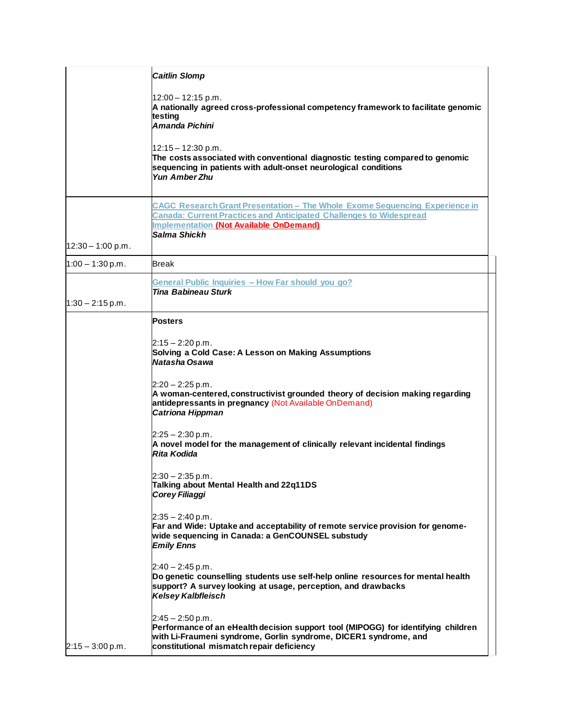|                     | <b>Caitlin Slomp</b>                                                                                                                                                                                                              |
|---------------------|-----------------------------------------------------------------------------------------------------------------------------------------------------------------------------------------------------------------------------------|
|                     | $12:00 - 12:15$ p.m.<br>A nationally agreed cross-professional competency framework to facilitate genomic<br>testing<br>Amanda Pichini                                                                                            |
|                     | 12:15 - 12:30 p.m.<br>The costs associated with conventional diagnostic testing compared to genomic<br>sequencing in patients with adult-onset neurological conditions<br><b>Yun Amber Zhu</b>                                    |
| $12:30 - 1:00$ p.m. | <b>CAGC Research Grant Presentation - The Whole Exome Sequencing Experience in</b><br><b>Canada: Current Practices and Anticipated Challenges to Widespread</b><br><b>Implementation (Not Available OnDemand)</b><br>Salma Shickh |
| $1:00 - 1:30$ p.m.  | <b>Break</b>                                                                                                                                                                                                                      |
|                     | General Public Inquiries - How Far should you go?<br><b>Tina Babineau Sturk</b>                                                                                                                                                   |
| $1:30 - 2:15$ p.m.  |                                                                                                                                                                                                                                   |
|                     | <b>Posters</b><br>$2:15 - 2:20$ p.m.<br>Solving a Cold Case: A Lesson on Making Assumptions<br>Natasha Osawa                                                                                                                      |
|                     | $2:20 - 2:25$ p.m.<br>A woman-centered, constructivist grounded theory of decision making regarding<br>antidepressants in pregnancy (Not Available OnDemand)<br><b>Catriona Hippman</b>                                           |
|                     | $2:25 - 2:30$ p.m.<br>A novel model for the management of clinically relevant incidental findings<br><b>Rita Kodida</b>                                                                                                           |
|                     | $2:30 - 2:35$ p.m.<br>Talking about Mental Health and 22q11DS<br>Corey Filiaggi                                                                                                                                                   |
|                     | $2:35 - 2:40$ p.m.<br>Far and Wide: Uptake and acceptability of remote service provision for genome-<br>wide sequencing in Canada: a GenCOUNSEL substudy<br><b>Emily Enns</b>                                                     |
|                     | $2:40 - 2:45$ p.m.<br>Do genetic counselling students use self-help online resources for mental health<br>support? A survey looking at usage, perception, and drawbacks<br><b>Kelsey Kalbfleisch</b>                              |
| $2:15 - 3:00$ p.m.  | $2:45 - 2:50$ p.m.<br>Performance of an eHealth decision support tool (MIPOGG) for identifying children<br>with Li-Fraumeni syndrome, Gorlin syndrome, DICER1 syndrome, and<br>constitutional mismatch repair deficiency          |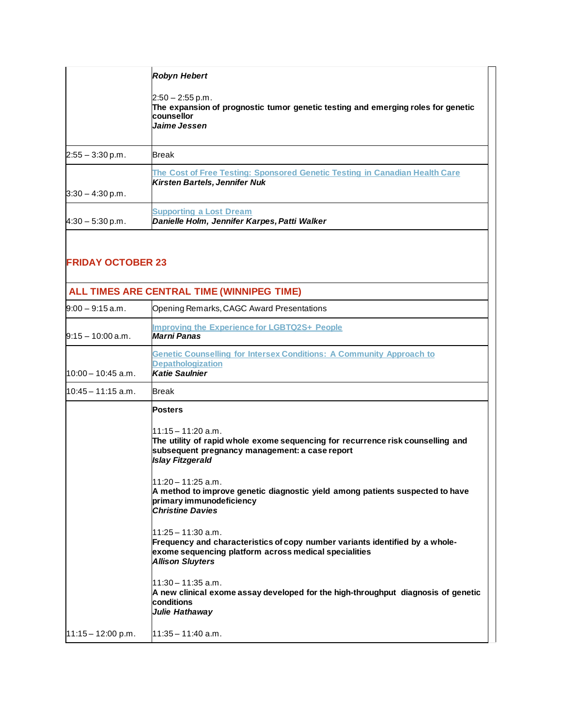|                    | <b>Robyn Hebert</b><br>$2:50 - 2:55$ p.m.<br>The expansion of prognostic tumor genetic testing and emerging roles for genetic<br><b>counsellor</b><br>Jaime Jessen |
|--------------------|--------------------------------------------------------------------------------------------------------------------------------------------------------------------|
| $2:55 - 3:30$ p.m. | <b>Break</b>                                                                                                                                                       |
| $3:30 - 4:30 p.m.$ | The Cost of Free Testing: Sponsored Genetic Testing in Canadian Health Care<br>Kirsten Bartels, Jennifer Nuk                                                       |
| $4:30 - 5:30$ p.m. | <b>Supporting a Lost Dream</b><br>Danielle Holm, Jennifer Karpes, Patti Walker                                                                                     |

#### **FRIDAY OCTOBER 23**

#### **ALL TIMES ARE CENTRAL TIME (WINNIPEG TIME)** 9:00 – 9:15 a.m. Opening Remarks, CAGC Award Presentations  $9:15 - 10:00$  a.m. **Improving the [Experience](https://www.cagcconference.ca/2020/session-descriptions/#Improving-the-Experience-for-LGBTQ2S+-People) for LGBTQ2S+ People** *Marni Panas* 10:00 – 10:45 a.m. **Genetic [Counselling](https://www.cagcconference.ca/2020/session-descriptions/#Genetic-Counselling-for-Intersex-Conditions:-A-Community-Approach-to-Depathologization) for Intersex Conditions: A Community Approach to [Depathologization](https://www.cagcconference.ca/2020/session-descriptions/#Genetic-Counselling-for-Intersex-Conditions:-A-Community-Approach-to-Depathologization)** *Katie Saulnier* 10:45 – 11:15 a.m. Break 11:15 – 12:00 p.m. **Posters**  $11:15 - 11:20$  a.m. **The utility of rapid whole exome sequencing for recurrence risk counselling and subsequent pregnancy management: a case report** *Islay Fitzgerald*  $11:20 - 11:25$  a.m. **A method to improve genetic diagnostic yield among patients suspected to have primary immunodeficiency** *Christine Davies*  $11:25 - 11:30$  a.m. **Frequency and characteristics of copy number variants identified by a wholeexome sequencing platform across medical specialities** *Allison Sluyters*  $11:30 - 11:35$  a.m. **A new clinical exome assay developed for the high-throughput diagnosis of genetic conditions** *Julie Hathaway*  $11:35 - 11:40$  a.m.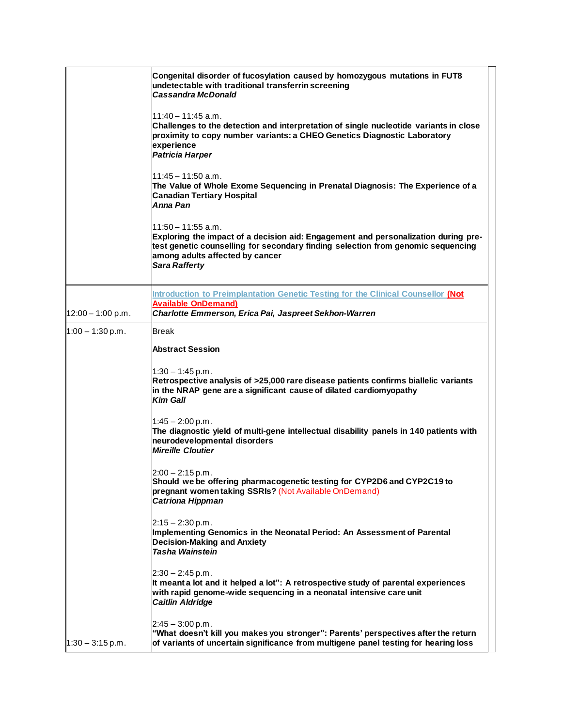|                     | Congenital disorder of fucosylation caused by homozygous mutations in FUT8<br>undetectable with traditional transferrin screening<br><b>Cassandra McDonald</b>                                                                                           |
|---------------------|----------------------------------------------------------------------------------------------------------------------------------------------------------------------------------------------------------------------------------------------------------|
|                     | l11:40 – 11:45 a.m.<br>Challenges to the detection and interpretation of single nucleotide variants in close<br>proximity to copy number variants: a CHEO Genetics Diagnostic Laboratory<br>experience<br><b>Patricia Harper</b>                         |
|                     | l11:45 – 11:50 a.m.<br>The Value of Whole Exome Sequencing in Prenatal Diagnosis: The Experience of a<br><b>Canadian Tertiary Hospital</b><br>Anna Pan                                                                                                   |
|                     | l11:50 – 11:55 a.m.<br>Exploring the impact of a decision aid: Engagement and personalization during pre-<br>test genetic counselling for secondary finding selection from genomic sequencing<br>among adults affected by cancer<br><b>Sara Rafferty</b> |
|                     | <b>Introduction to Preimplantation Genetic Testing for the Clinical Counsellor (Not</b><br><b>Available OnDemand)</b>                                                                                                                                    |
| $12:00 - 1:00$ p.m. | Charlotte Emmerson, Erica Pai, Jaspreet Sekhon-Warren                                                                                                                                                                                                    |
| $1:00 - 1:30$ p.m.  | <b>Break</b>                                                                                                                                                                                                                                             |
|                     | <b>Abstract Session</b>                                                                                                                                                                                                                                  |
|                     | $1:30 - 1:45$ p.m.<br>Retrospective analysis of >25,000 rare disease patients confirms biallelic variants<br>in the NRAP gene are a significant cause of dilated cardiomyopathy<br>Kim Gall                                                              |
|                     | $1:45 - 2:00$ p.m.<br>The diagnostic yield of multi-gene intellectual disability panels in 140 patients with<br>neurodevelopmental disorders<br><b>Mireille Cloutier</b>                                                                                 |
|                     | $2:00 - 2:15$ p.m.<br>Should we be offering pharmacogenetic testing for CYP2D6 and CYP2C19 to<br>pregnant women taking SSRIs? (Not Available OnDemand)<br><b>Catriona Hippman</b>                                                                        |
|                     | $2:15 - 2:30$ p.m.<br>Implementing Genomics in the Neonatal Period: An Assessment of Parental<br><b>Decision-Making and Anxiety</b><br>Tasha Wainstein                                                                                                   |
|                     | $2:30 - 2:45$ p.m.<br>It meant a lot and it helped a lot": A retrospective study of parental experiences<br>with rapid genome-wide sequencing in a neonatal intensive care unit<br><b>Caitlin Aldridge</b>                                               |
| $1:30 - 3:15$ p.m.  | $2:45 - 3:00$ p.m.<br>"What doesn't kill you makes you stronger": Parents' perspectives after the return<br>of variants of uncertain significance from multigene panel testing for hearing loss                                                          |